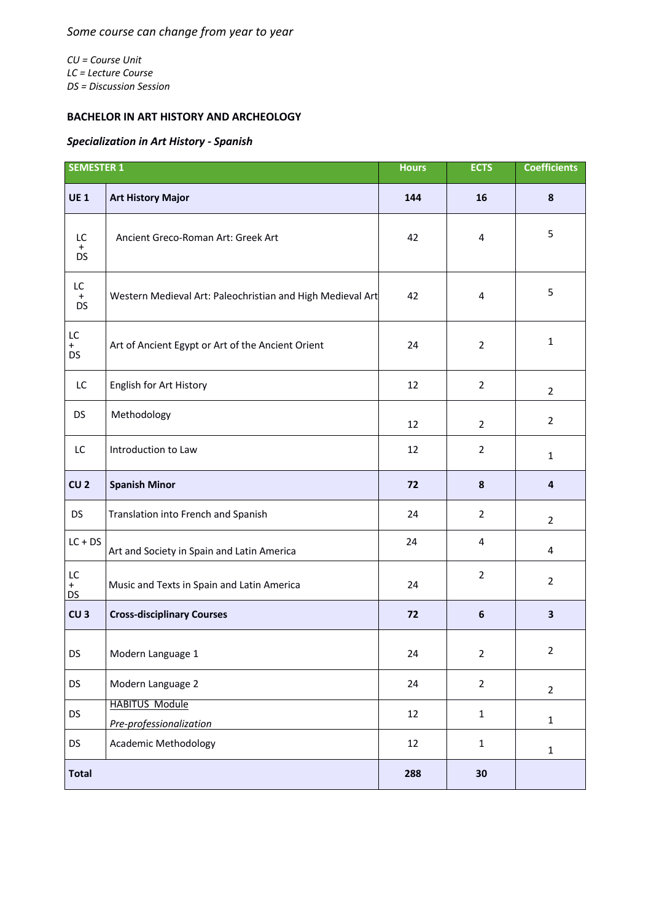*CU = Course Unit LC = Lecture Course DS = Discussion Session*

## **BACHELOR IN ART HISTORY AND ARCHEOLOGY**

## *Specialization in Art History - Spanish*

| <b>SEMESTER 1</b>            |                                                            | <b>Hours</b> | <b>ECTS</b>      | <b>Coefficients</b>     |
|------------------------------|------------------------------------------------------------|--------------|------------------|-------------------------|
| <b>UE1</b>                   | <b>Art History Major</b>                                   | 144          | 16               | 8                       |
| LC<br>$\ddot{}$<br><b>DS</b> | Ancient Greco-Roman Art: Greek Art                         | 42           | 4                | 5                       |
| LC.<br>$+$<br><b>DS</b>      | Western Medieval Art: Paleochristian and High Medieval Art | 42           | 4                | 5                       |
| LC<br>$+$<br><b>DS</b>       | Art of Ancient Egypt or Art of the Ancient Orient          | 24           | $\overline{2}$   | $\mathbf{1}$            |
| LC                           | English for Art History                                    | 12           | $\overline{2}$   | $\overline{2}$          |
| <b>DS</b>                    | Methodology                                                | 12           | $\overline{2}$   | $\overline{2}$          |
| LC                           | Introduction to Law                                        | 12           | $\overline{2}$   | $\mathbf{1}$            |
| CU <sub>2</sub>              | <b>Spanish Minor</b>                                       | 72           | 8                | $\overline{4}$          |
| <b>DS</b>                    | Translation into French and Spanish                        | 24           | $\overline{2}$   | $\overline{2}$          |
| $LC + DS$                    | Art and Society in Spain and Latin America                 | 24           | 4                | 4                       |
| LC<br>$^{+}$<br>DS           | Music and Texts in Spain and Latin America                 | 24           | $\overline{2}$   | $\overline{2}$          |
| CU <sub>3</sub>              | <b>Cross-disciplinary Courses</b>                          | 72           | $\boldsymbol{6}$ | $\overline{\mathbf{3}}$ |
| DS                           | Modern Language 1                                          | 24           | $\overline{2}$   | $\overline{2}$          |
| <b>DS</b>                    | Modern Language 2                                          | 24           | $\overline{2}$   | $\overline{2}$          |
| <b>DS</b>                    | <b>HABITUS Module</b><br>Pre-professionalization           | 12           | $\mathbf 1$      | $\mathbf{1}$            |
| DS                           | <b>Academic Methodology</b>                                | 12           | $\mathbf 1$      | $\mathbf{1}$            |
| <b>Total</b>                 |                                                            | 288          | 30               |                         |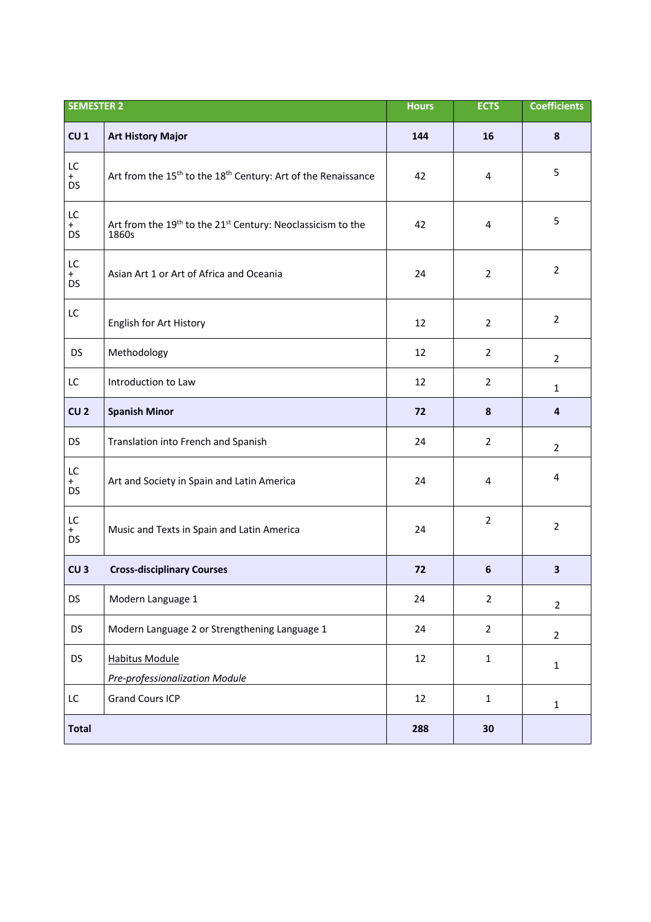| <b>SEMESTER 2</b>      |                                                                                              | <b>Hours</b> | <b>ECTS</b>    | <b>Coefficients</b> |
|------------------------|----------------------------------------------------------------------------------------------|--------------|----------------|---------------------|
| CU <sub>1</sub>        | <b>Art History Major</b>                                                                     | 144          | 16             | 8                   |
| LC<br>$+$<br><b>DS</b> | Art from the 15 <sup>th</sup> to the 18 <sup>th</sup> Century: Art of the Renaissance        | 42           | 4              | 5                   |
| LC<br>$+$<br><b>DS</b> | Art from the 19 <sup>th</sup> to the 21 <sup>st</sup> Century: Neoclassicism to the<br>1860s | 42           | 4              | 5                   |
| LC<br>$+$<br><b>DS</b> | Asian Art 1 or Art of Africa and Oceania                                                     | 24           | $\overline{2}$ | $\overline{2}$      |
| LC                     | English for Art History                                                                      | 12           | $\overline{2}$ | $\overline{2}$      |
| <b>DS</b>              | Methodology                                                                                  | 12           | $\overline{2}$ | $\overline{2}$      |
| LC                     | Introduction to Law                                                                          | 12           | $\overline{2}$ | $\mathbf{1}$        |
| CU <sub>2</sub>        | <b>Spanish Minor</b>                                                                         | 72           | 8              | 4                   |
| <b>DS</b>              | Translation into French and Spanish                                                          | 24           | $\overline{2}$ | $\overline{2}$      |
| LC<br>$+$<br><b>DS</b> | Art and Society in Spain and Latin America                                                   | 24           | 4              | 4                   |
| LC<br>$+$<br><b>DS</b> | Music and Texts in Spain and Latin America                                                   | 24           | $\overline{2}$ | $\overline{2}$      |
| CU <sub>3</sub>        | <b>Cross-disciplinary Courses</b>                                                            | 72           | 6              | 3                   |
| <b>DS</b>              | Modern Language 1                                                                            | 24           | $\overline{2}$ | $\overline{2}$      |
| <b>DS</b>              | Modern Language 2 or Strengthening Language 1                                                | 24           | $\overline{2}$ | $\overline{2}$      |
| <b>DS</b>              | <b>Habitus Module</b><br>Pre-professionalization Module                                      | 12           | $\mathbf{1}$   | $\mathbf{1}$        |
| LC                     | <b>Grand Cours ICP</b>                                                                       | 12           | $\mathbf{1}$   | $\mathbf{1}$        |
| <b>Total</b>           |                                                                                              | 288          | 30             |                     |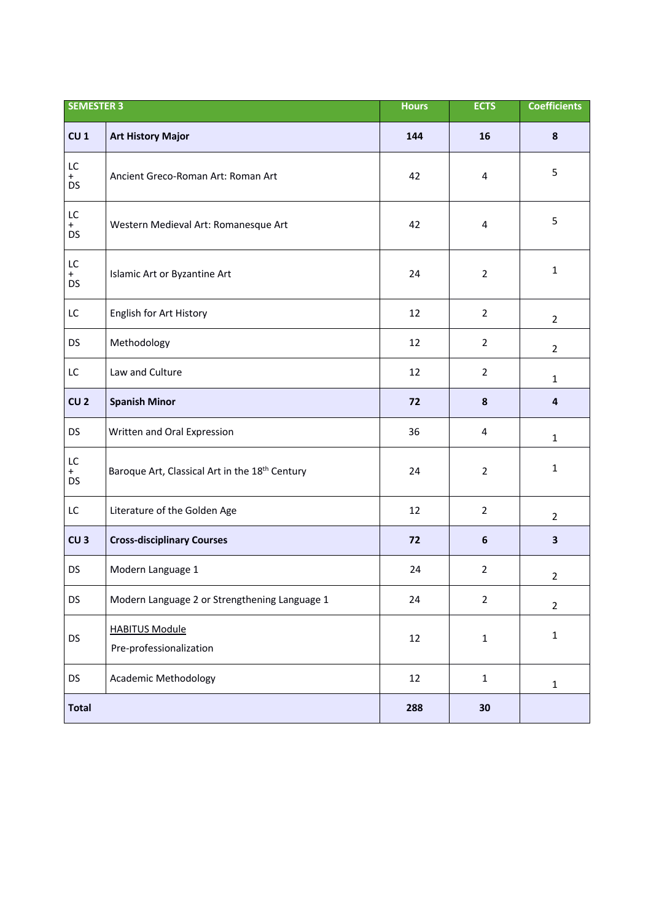| <b>SEMESTER 3</b>      |                                                            | <b>Hours</b> | <b>ECTS</b>      | <b>Coefficients</b>     |
|------------------------|------------------------------------------------------------|--------------|------------------|-------------------------|
| CU <sub>1</sub>        | <b>Art History Major</b>                                   | 144          | 16               | 8                       |
| LC<br>$+$<br>DS        | Ancient Greco-Roman Art: Roman Art                         | 42           | 4                | 5                       |
| LC<br>$+$<br><b>DS</b> | Western Medieval Art: Romanesque Art                       | 42           | 4                | 5                       |
| LC<br>$+$<br>DS        | Islamic Art or Byzantine Art                               | 24           | $\overline{2}$   | $\mathbf{1}$            |
| LC                     | English for Art History                                    | 12           | $\overline{2}$   | $\overline{2}$          |
| <b>DS</b>              | Methodology                                                | 12           | $\overline{2}$   | $\overline{2}$          |
| LC                     | Law and Culture                                            | 12           | $\overline{2}$   | $\mathbf{1}$            |
| CU <sub>2</sub>        | <b>Spanish Minor</b>                                       | 72           | 8                | $\overline{4}$          |
| <b>DS</b>              | Written and Oral Expression                                | 36           | 4                | $\mathbf{1}$            |
| LC<br>$+$<br><b>DS</b> | Baroque Art, Classical Art in the 18 <sup>th</sup> Century | 24           | $\overline{2}$   | $\mathbf{1}$            |
| LC                     | Literature of the Golden Age                               | 12           | $\overline{2}$   | $\overline{2}$          |
| CU <sub>3</sub>        | <b>Cross-disciplinary Courses</b>                          | 72           | $\boldsymbol{6}$ | $\overline{\mathbf{3}}$ |
| DS                     | Modern Language 1                                          | 24           | $\overline{2}$   | $\overline{2}$          |
| DS                     | Modern Language 2 or Strengthening Language 1              | 24           | $\overline{2}$   | $\overline{2}$          |
| DS                     | <b>HABITUS Module</b><br>Pre-professionalization           | 12           | $\mathbf{1}$     | $\mathbf 1$             |
| DS                     | <b>Academic Methodology</b>                                | 12           | $\mathbf{1}$     | $\mathbf 1$             |
| <b>Total</b>           |                                                            | 288          | 30               |                         |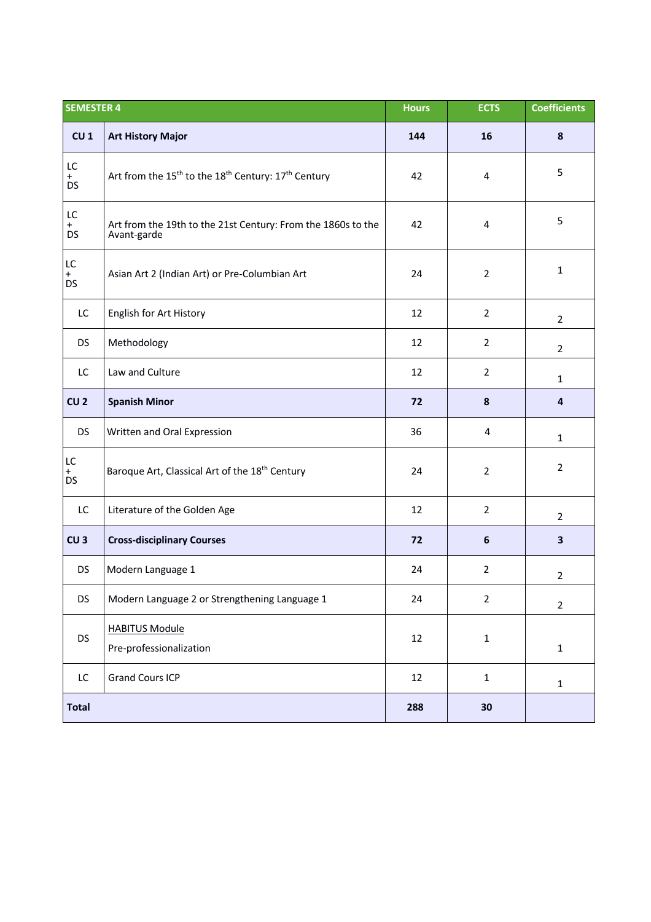| <b>SEMESTER 4</b>      |                                                                                         | <b>Hours</b> | <b>ECTS</b>    | <b>Coefficients</b>     |
|------------------------|-----------------------------------------------------------------------------------------|--------------|----------------|-------------------------|
| CU <sub>1</sub>        | <b>Art History Major</b>                                                                | 144          | 16             | 8                       |
| LC<br>$+$<br><b>DS</b> | Art from the 15 <sup>th</sup> to the 18 <sup>th</sup> Century: 17 <sup>th</sup> Century | 42           | 4              | 5                       |
| LC<br>$+$<br><b>DS</b> | Art from the 19th to the 21st Century: From the 1860s to the<br>Avant-garde             | 42           | 4              | 5                       |
| LC<br>$+$<br><b>DS</b> | Asian Art 2 (Indian Art) or Pre-Columbian Art                                           | 24           | $\overline{2}$ | $\mathbf{1}$            |
| LC                     | English for Art History                                                                 | 12           | $\overline{2}$ | $\overline{2}$          |
| <b>DS</b>              | Methodology                                                                             | 12           | $\overline{2}$ | $\overline{2}$          |
| LC                     | Law and Culture                                                                         | 12           | $\overline{2}$ | $\mathbf{1}$            |
| CU <sub>2</sub>        | <b>Spanish Minor</b>                                                                    | 72           | 8              | 4                       |
| <b>DS</b>              | Written and Oral Expression                                                             | 36           | 4              | $\mathbf{1}$            |
| LC<br>$+$<br><b>DS</b> | Baroque Art, Classical Art of the 18 <sup>th</sup> Century                              | 24           | $\overline{2}$ | $\overline{2}$          |
| LC                     | Literature of the Golden Age                                                            | 12           | $\overline{2}$ | $\overline{2}$          |
| CU <sub>3</sub>        | <b>Cross-disciplinary Courses</b>                                                       | 72           | 6              | $\overline{\mathbf{3}}$ |
| <b>DS</b>              | Modern Language 1                                                                       | 24           | $\overline{2}$ | $\overline{2}$          |
| DS                     | Modern Language 2 or Strengthening Language 1                                           | 24           | $\overline{2}$ | $\overline{2}$          |
| DS                     | <b>HABITUS Module</b><br>Pre-professionalization                                        | 12           | $\mathbf 1$    | $\mathbf 1$             |
| LC                     | <b>Grand Cours ICP</b>                                                                  | 12           | $\mathbf{1}$   | $\mathbf{1}$            |
| <b>Total</b>           |                                                                                         | 288          | 30             |                         |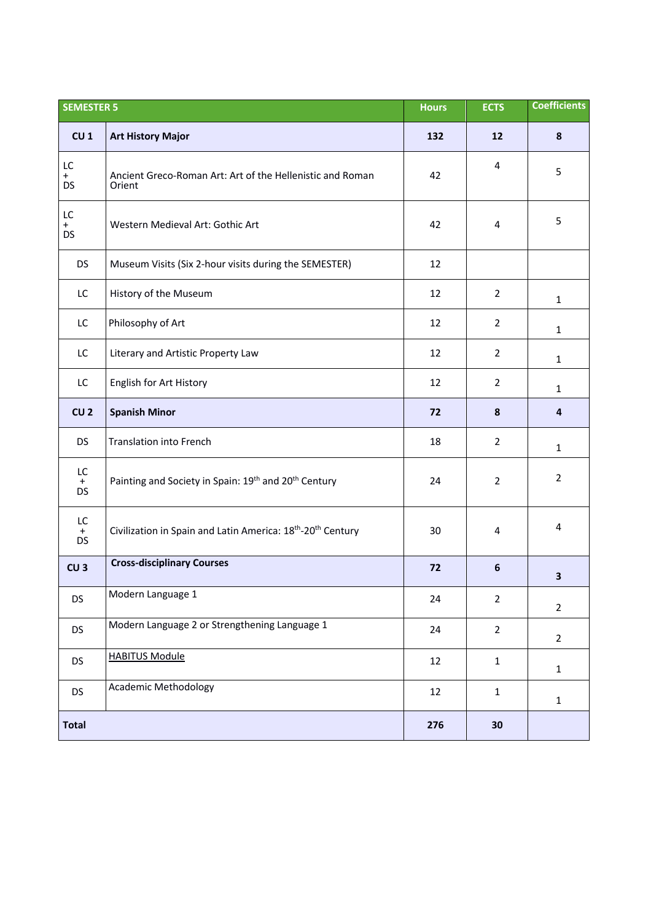| <b>SEMESTER 5</b>               |                                                                                     | <b>Hours</b> | <b>ECTS</b>    | <b>Coefficients</b> |
|---------------------------------|-------------------------------------------------------------------------------------|--------------|----------------|---------------------|
| CU <sub>1</sub>                 | <b>Art History Major</b>                                                            | 132          | 12             | 8                   |
| LC<br>$+$<br><b>DS</b>          | Ancient Greco-Roman Art: Art of the Hellenistic and Roman<br>Orient                 | 42           | 4              | 5                   |
| LC<br>$+$<br>DS                 | Western Medieval Art: Gothic Art                                                    | 42           | 4              | 5                   |
| <b>DS</b>                       | Museum Visits (Six 2-hour visits during the SEMESTER)                               | 12           |                |                     |
| LC                              | History of the Museum                                                               | 12           | $\overline{2}$ | $\mathbf{1}$        |
| LC                              | Philosophy of Art                                                                   | 12           | $\overline{2}$ | $\mathbf{1}$        |
| LC                              | Literary and Artistic Property Law                                                  | 12           | $\overline{2}$ | $\mathbf{1}$        |
| LC                              | English for Art History                                                             | 12           | $\overline{2}$ | $\mathbf{1}$        |
| CU <sub>2</sub>                 | <b>Spanish Minor</b>                                                                | 72           | 8              | 4                   |
| <b>DS</b>                       | <b>Translation into French</b>                                                      | 18           | $\overline{2}$ | $\mathbf{1}$        |
| LC<br>$+$<br><b>DS</b>          | Painting and Society in Spain: 19th and 20th Century                                | 24           | $\overline{2}$ | $\overline{2}$      |
| LC<br>$\stackrel{+}{\text{DS}}$ | Civilization in Spain and Latin America: 18 <sup>th</sup> -20 <sup>th</sup> Century | 30           | 4              | 4                   |
| CU <sub>3</sub>                 | <b>Cross-disciplinary Courses</b>                                                   | 72           | 6              | 3                   |
| DS                              | Modern Language 1                                                                   | 24           | $\overline{2}$ | $\overline{2}$      |
| <b>DS</b>                       | Modern Language 2 or Strengthening Language 1                                       | 24           | $\overline{2}$ | $\overline{2}$      |
| <b>DS</b>                       | <b>HABITUS Module</b>                                                               | 12           | $\mathbf{1}$   | $\mathbf{1}$        |
| <b>DS</b>                       | <b>Academic Methodology</b>                                                         | 12           | $\mathbf{1}$   | $\mathbf{1}$        |
| <b>Total</b>                    |                                                                                     | 276          | 30             |                     |